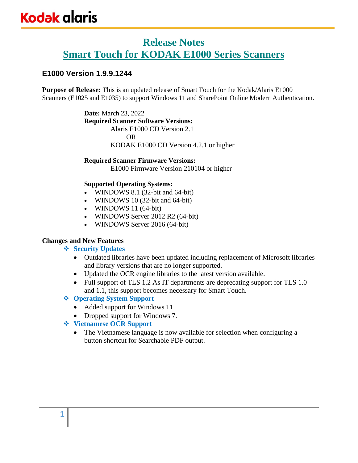## **E1000 Version 1.9.9.1244**

**Purpose of Release:** This is an updated release of Smart Touch for the Kodak/Alaris E1000 Scanners (E1025 and E1035) to support Windows 11 and SharePoint Online Modern Authentication.

> **Date:** March 23, 2022 **Required Scanner Software Versions:** Alaris E1000 CD Version 2.1 OR KODAK E1000 CD Version 4.2.1 or higher

**Required Scanner Firmware Versions:**

E1000 Firmware Version 210104 or higher

#### **Supported Operating Systems:**

- WINDOWS 8.1 (32-bit and 64-bit)
- WINDOWS 10 (32-bit and 64-bit)
- WINDOWS 11 (64-bit)
- WINDOWS Server 2012 R2 (64-bit)
- WINDOWS Server 2016 (64-bit)

#### **Changes and New Features**

#### ❖ **Security Updates**

- Outdated libraries have been updated including replacement of Microsoft libraries and library versions that are no longer supported.
- Updated the OCR engine libraries to the latest version available.
- Full support of TLS 1.2 As IT departments are deprecating support for TLS 1.0 and 1.1, this support becomes necessary for Smart Touch.

#### ❖ **Operating System Support**

- Added support for Windows 11.
- Dropped support for Windows 7.

#### ❖ **Vietnamese OCR Support**

• The Vietnamese language is now available for selection when configuring a button shortcut for Searchable PDF output.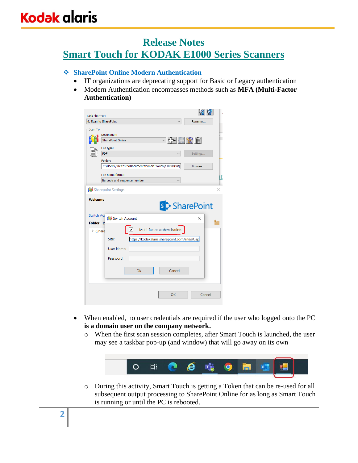# **Kodak alaris**

# **Release Notes Smart Touch for KODAK E1000 Series Scanners**

### ❖ **SharePoint Online Modern Authentication**

- IT organizations are deprecating support for Basic or Legacy authentication
- Modern Authentication encompasses methods such as **MFA (Multi-Factor Authentication)**

| Task shortcut:                           | (31)                                                                                                                                                                                   |
|------------------------------------------|----------------------------------------------------------------------------------------------------------------------------------------------------------------------------------------|
|                                          | 9. Scan to SharePoint<br>Rename<br>$\checkmark$                                                                                                                                        |
| Scan To                                  | Destination:<br>○ 다 로 ※ 히<br><b>SharePoint Online</b><br>File type:<br>PDF<br>Settings<br>Folder:<br>C:\Users\50242355\Documents\Smart Touch\e1000\Outp<br>Browse<br>File name format: |
|                                          | IJ<br>Barcode and sequence number<br>$\checkmark$                                                                                                                                      |
| <b>Welcome</b><br><b>Switch Acd</b>      | s > SharePoint<br>Switch Account<br>×                                                                                                                                                  |
| <b>Folder</b><br>$\triangleright$ (Share | (S<br>√<br>Multi-factor authentication<br>Site:<br>https://kodakalaris.sharepoint.com/sites/Cap<br><b>User Name:</b><br>Password:<br>OK<br>Cancel                                      |
|                                          | Cancel<br>OK                                                                                                                                                                           |

- When enabled, no user credentials are required if the user who logged onto the PC **is a domain user on the company network.**
	- o When the first scan session completes, after Smart Touch is launched, the user may see a taskbar pop-up (and window) that will go away on its own



o During this activity, Smart Touch is getting a Token that can be re-used for all subsequent output processing to SharePoint Online for as long as Smart Touch is running or until the PC is rebooted.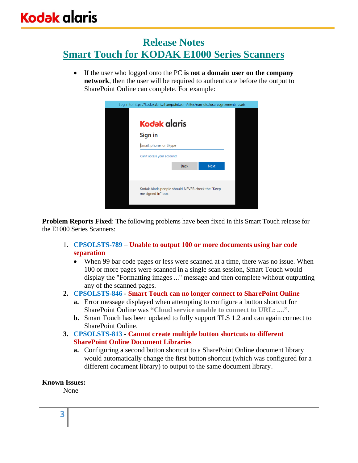• If the user who logged onto the PC **is not a domain user on the company network**, then the user will be required to authenticate before the output to SharePoint Online can complete. For example:

| Log in to https://kodakalaris.sharepoint.com/sites/non-disclosureagreements-alaris |                                                      |             |  |  |
|------------------------------------------------------------------------------------|------------------------------------------------------|-------------|--|--|
| <b>Kodak alaris</b>                                                                |                                                      |             |  |  |
| Sign in                                                                            |                                                      |             |  |  |
|                                                                                    | Email, phone, or Skype<br>Can't access your account? |             |  |  |
|                                                                                    |                                                      |             |  |  |
|                                                                                    | <b>Back</b>                                          | <b>Next</b> |  |  |
|                                                                                    |                                                      |             |  |  |
| Kodak Alaris people should NEVER check the "Keep"<br>me signed in" box             |                                                      |             |  |  |

**Problem Reports Fixed**: The following problems have been fixed in this Smart Touch release for the E1000 Series Scanners:

- 1. **CPSOLSTS-789 Unable to output 100 or more documents using bar code separation**
	- When 99 bar code pages or less were scanned at a time, there was no issue. When 100 or more pages were scanned in a single scan session, Smart Touch would display the "Formatting images ..." message and then complete without outputting any of the scanned pages.
- **2. CPSOLSTS-846 Smart Touch can no longer connect to SharePoint Online**
	- **a.** Error message displayed when attempting to configure a button shortcut for SharePoint Online was **"Cloud service unable to connect to URL: ....".**
	- **b.** Smart Touch has been updated to fully support TLS 1.2 and can again connect to SharePoint Online.
- **3. CPSOLSTS-813 Cannot create multiple button shortcuts to different SharePoint Online Document Libraries**
	- **a.** Configuring a second button shortcut to a SharePoint Online document library would automatically change the first button shortcut (which was configured for a different document library) to output to the same document library.

#### **Known Issues:**

None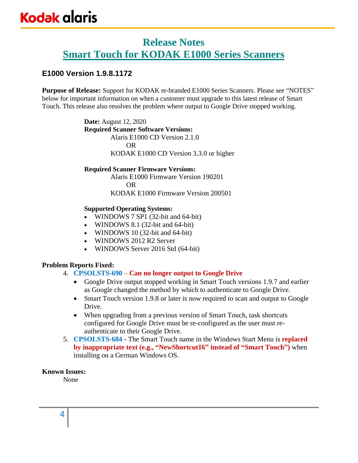## **E1000 Version 1.9.8.1172**

**Purpose of Release:** Support for KODAK re-branded E1000 Series Scanners. Please see "NOTES" below for important information on when a customer must upgrade to this latest release of Smart Touch. This release also resolves the problem where output to Google Drive stopped working.

> **Date:** August 12, 2020 **Required Scanner Software Versions:** Alaris E1000 CD Version 2.1.0 OR KODAK E1000 CD Version 3.3.0 or higher

#### **Required Scanner Firmware Versions:** Alaris E1000 Firmware Version 190201 OR KODAK E1000 Firmware Version 200501

#### **Supported Operating Systems:**

- WINDOWS 7 SP1 (32-bit and 64-bit)
- WINDOWS 8.1 (32-bit and 64-bit)
- WINDOWS 10 (32-bit and 64-bit)
- WINDOWS 2012 R2 Server
- WINDOWS Server 2016 Std (64-bit)

#### **Problem Reports Fixed:**

#### 4. **CPSOLSTS-690** – **Can no longer output to Google Drive**

- Google Drive output stopped working in Smart Touch versions 1.9.7 and earlier as Google changed the method by which to authenticate to Google Drive.
- Smart Touch version 1.9.8 or later is now required to scan and output to Google Drive.
- When upgrading from a previous version of Smart Touch, task shortcuts configured for Google Drive must be re-configured as the user must reauthenticate to their Google Drive.
- 5. **CPSOLSTS-684** The Smart Touch name in the Windows Start Menu is **replaced by inappropriate text (e.g., "NewShortcut16" instead of "Smart Touch")** when installing on a German Windows OS.

#### **Known Issues:**

None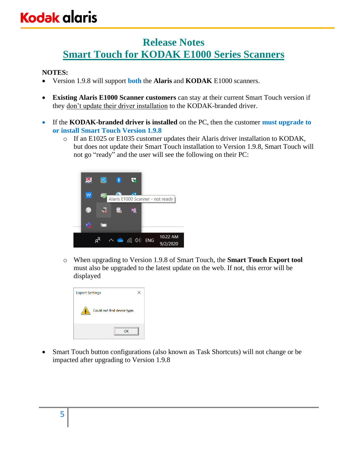#### **NOTES:**

- Version 1.9.8 will support **both** the **Alaris** and **KODAK** E1000 scanners.
- **Existing Alaris E1000 Scanner customers** can stay at their current Smart Touch version if they don't update their driver installation to the KODAK-branded driver.
- If the **KODAK-branded driver is installed** on the PC, then the customer **must upgrade to or install Smart Touch Version 1.9.8**
	- o If an E1025 or E1035 customer updates their Alaris driver installation to KODAK, but does not update their Smart Touch installation to Version 1.9.8, Smart Touch will not go "ready" and the user will see the following on their PC:



o When upgrading to Version 1.9.8 of Smart Touch, the **Smart Touch Export tool** must also be upgraded to the latest update on the web. If not, this error will be displayed



• Smart Touch button configurations (also known as Task Shortcuts) will not change or be impacted after upgrading to Version 1.9.8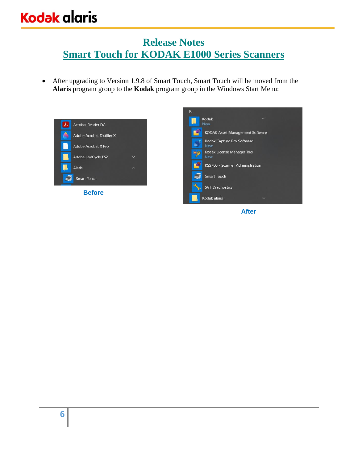# **Kodak alaris**

# **Release Notes Smart Touch for KODAK E1000 Series Scanners**

• After upgrading to Version 1.9.8 of Smart Touch, Smart Touch will be moved from the **Alaris** program group to the **Kodak** program group in the Windows Start Menu:





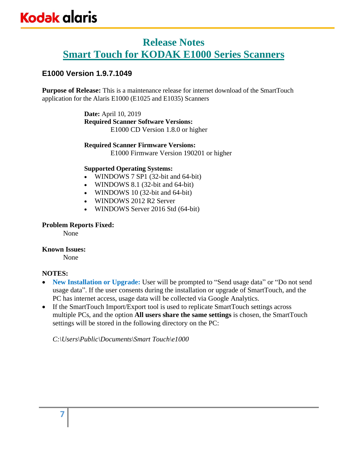## **E1000 Version 1.9.7.1049**

**Purpose of Release:** This is a maintenance release for internet download of the SmartTouch application for the Alaris E1000 (E1025 and E1035) Scanners

> **Date:** April 10, 2019 **Required Scanner Software Versions:** E1000 CD Version 1.8.0 or higher

**Required Scanner Firmware Versions:** E1000 Firmware Version 190201 or higher

#### **Supported Operating Systems:**

- WINDOWS 7 SP1 (32-bit and 64-bit)
- WINDOWS 8.1 (32-bit and 64-bit)
- WINDOWS 10 (32-bit and 64-bit)
- WINDOWS 2012 R2 Server
- WINDOWS Server 2016 Std (64-bit)

#### **Problem Reports Fixed:**

None

#### **Known Issues:**

None

#### **NOTES:**

- **New Installation or Upgrade:** User will be prompted to "Send usage data" or "Do not send usage data". If the user consents during the installation or upgrade of SmartTouch, and the PC has internet access, usage data will be collected via Google Analytics.
- If the SmartTouch Import/Export tool is used to replicate SmartTouch settings across multiple PCs, and the option **All users share the same settings** is chosen, the SmartTouch settings will be stored in the following directory on the PC:

*C:\Users\Public\Documents\Smart Touch\e1000*